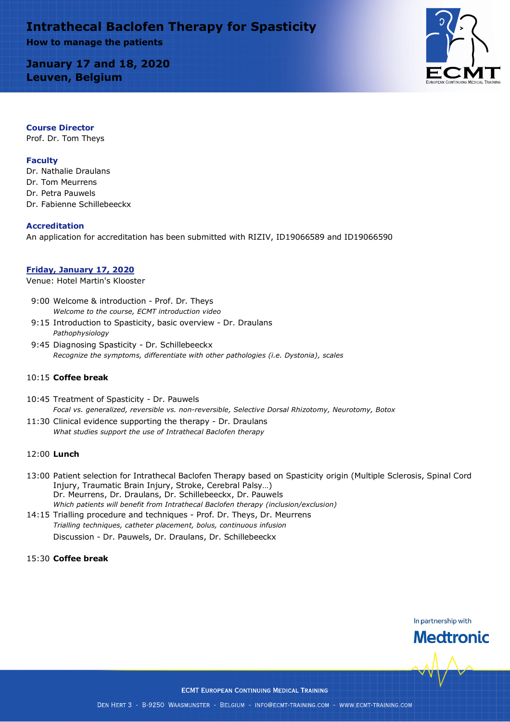# **Intrathecal Baclofen Therapy for Spasticity How to manage the patients**

**January 17 and 18, 2020 Leuven, Belgium**



## **Course Director**

Prof. Dr. Tom Theys

## **Faculty**

Dr. Nathalie Draulans Dr. Tom Meurrens Dr. Petra Pauwels Dr. Fabienne Schillebeeckx

### **Accreditation**

An application for accreditation has been submitted with RIZIV, ID19066589 and ID19066590

### **Friday, January 17, 2020**

Venue: Hotel Martin's Klooster

- 9:00 Welcome & introduction Prof. Dr. Theys *Welcome to the course, ECMT introduction video*
- 9:15 Introduction to Spasticity, basic overview Dr. Draulans *Pathophysiology*
- 9:45 Diagnosing Spasticity Dr. Schillebeeckx *Recognize the symptoms, differentiate with other pathologies (i.e. Dystonia), scales*

### 10:15 **Coffee break**

- 10:45 Treatment of Spasticity Dr. Pauwels *Focal vs. generalized, reversible vs. non-reversible, Selective Dorsal Rhizotomy, Neurotomy, Botox*
- 11:30 Clinical evidence supporting the therapy Dr. Draulans *What studies support the use of Intrathecal Baclofen therapy*

### 12:00 **Lunch**

- 13:00 Patient selection for Intrathecal Baclofen Therapy based on Spasticity origin (Multiple Sclerosis, Spinal Cord Injury, Traumatic Brain Injury, Stroke, Cerebral Palsy…) Dr. Meurrens, Dr. Draulans, Dr. Schillebeeckx, Dr. Pauwels *Which patients will benefit from Intrathecal Baclofen therapy (inclusion/exclusion)*
- 14:15 Trialling procedure and techniques Prof. Dr. Theys, Dr. Meurrens *Trialling techniques, catheter placement, bolus, continuous infusion* Discussion - Dr. Pauwels, Dr. Draulans, Dr. Schillebeeckx

## 15:30 **Coffee break**

In partnership with **Medtronic**